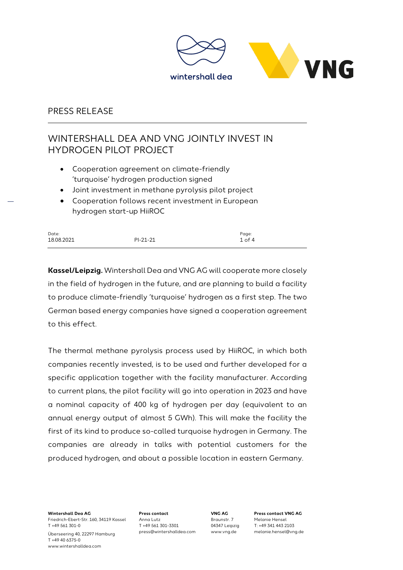

# WINTERSHALL DEA AND VNG JOINTLY INVEST IN HYDROGEN PILOT PROJECT

- Cooperation agreement on climate-friendly 'turquoise' hydrogen production signed
- Joint investment in methane pyrolysis pilot project
- Cooperation follows recent investment in European hydrogen start-up HiiROC

| Date:      |            | Page:      |
|------------|------------|------------|
| 18.08.2021 | $PI-21-21$ | $1$ of $4$ |

**Kassel/Leipzig.** Wintershall Dea and VNG AG will cooperate more closely in the field of hydrogen in the future, and are planning to build a facility to produce climate-friendly 'turquoise' hydrogen as a first step. The two German based energy companies have signed a cooperation agreement to this effect.

The thermal methane pyrolysis process used by HiiROC, in which both companies recently invested, is to be used and further developed for a specific application together with the facility manufacturer. According to current plans, the pilot facility will go into operation in 2023 and have a nominal capacity of 400 kg of hydrogen per day (equivalent to an annual energy output of almost 5 GWh). This will make the facility the first of its kind to produce so-called turquoise hydrogen in Germany. The companies are already in talks with potential customers for the produced hydrogen, and about a possible location in eastern Germany.

**Wintershall Dea AG** Friedrich-Ebert-Str. 160, 34119 Kassel T +49 561 301-0 Überseering 40, 22297 Hamburg T +49 40 6375-0 www.wintershalldea.com

**Press contact** Anna Lutz T +49 561 301-3301 press@wintershalldea.com

**VNG AG**  Braunstr. 7 04347 Leipzig www.vng.de

**Press contact VNG AG** Melanie Hensel T: +49 341 443 2103 melanie.hensel@vng.de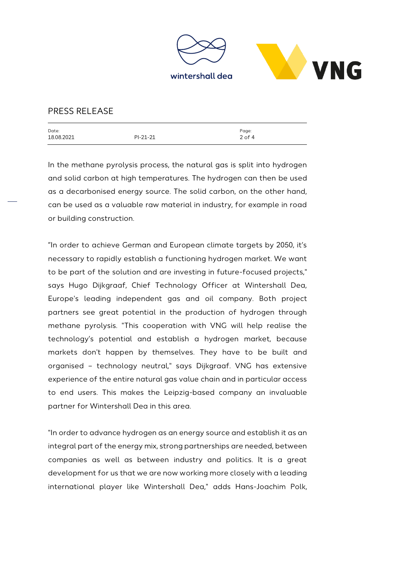

| Date:      |            | Page:      |
|------------|------------|------------|
| 18.08.2021 | $PI-21-21$ | $2$ of $4$ |
|            |            |            |

In the methane pyrolysis process, the natural gas is split into hydrogen and solid carbon at high temperatures. The hydrogen can then be used as a decarbonised energy source. The solid carbon, on the other hand, can be used as a valuable raw material in industry, for example in road or building construction.

"In order to achieve German and European climate targets by 2050, it's necessary to rapidly establish a functioning hydrogen market. We want to be part of the solution and are investing in future-focused projects," says Hugo Dijkgraaf, Chief Technology Officer at Wintershall Dea, Europe's leading independent gas and oil company. Both project partners see great potential in the production of hydrogen through methane pyrolysis. "This cooperation with VNG will help realise the technology's potential and establish a hydrogen market, because markets don't happen by themselves. They have to be built and organised – technology neutral," says Dijkgraaf. VNG has extensive experience of the entire natural gas value chain and in particular access to end users. This makes the Leipzig-based company an invaluable partner for Wintershall Dea in this area.

"In order to advance hydrogen as an energy source and establish it as an integral part of the energy mix, strong partnerships are needed, between companies as well as between industry and politics. It is a great development for us that we are now working more closely with a leading international player like Wintershall Dea," adds Hans-Joachim Polk,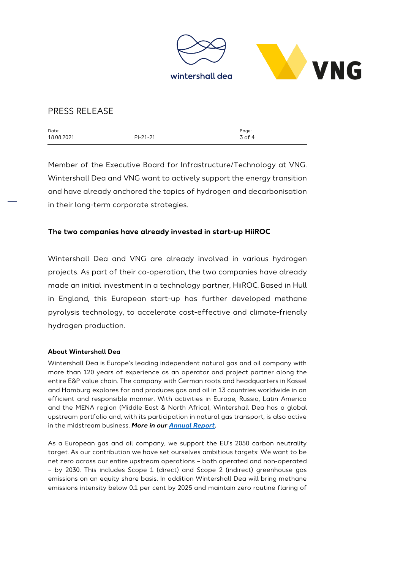

| Date:      |            | Page:      |
|------------|------------|------------|
| 18.08.2021 | $PI-21-21$ | $3$ of $4$ |
|            |            |            |

Member of the Executive Board for Infrastructure/Technology at VNG. Wintershall Dea and VNG want to actively support the energy transition and have already anchored the topics of hydrogen and decarbonisation in their long-term corporate strategies.

### **The two companies have already invested in start-up HiiROC**

Wintershall Dea and VNG are already involved in various hydrogen projects. As part of their co-operation, the two companies have already made an initial investment in a technology partner, HiiROC. Based in Hull in England, this European start-up has further developed methane pyrolysis technology, to accelerate cost-effective and climate-friendly hydrogen production.

#### **About Wintershall Dea**

Wintershall Dea is Europe's leading independent natural gas and oil company with more than 120 years of experience as an operator and project partner along the entire E&P value chain. The company with German roots and headquarters in Kassel and Hamburg explores for and produces gas and oil in 13 countries worldwide in an efficient and responsible manner. With activities in Europe, Russia, Latin America and the MENA region (Middle East & North Africa), Wintershall Dea has a global upstream portfolio and, with its participation in natural gas transport, is also active in the midstream business. *More in ou[r Annual Report.](https://wintershalldea.com/en/investor-relations/2020-annual-report)*

As a European gas and oil company, we support the EU's 2050 carbon neutrality target. As our contribution we have set ourselves ambitious targets: We want to be net zero across our entire upstream operations – both operated and non-operated – by 2030. This includes Scope 1 (direct) and Scope 2 (indirect) greenhouse gas emissions on an equity share basis. In addition Wintershall Dea will bring methane emissions intensity below 0.1 per cent by 2025 and maintain zero routine flaring of